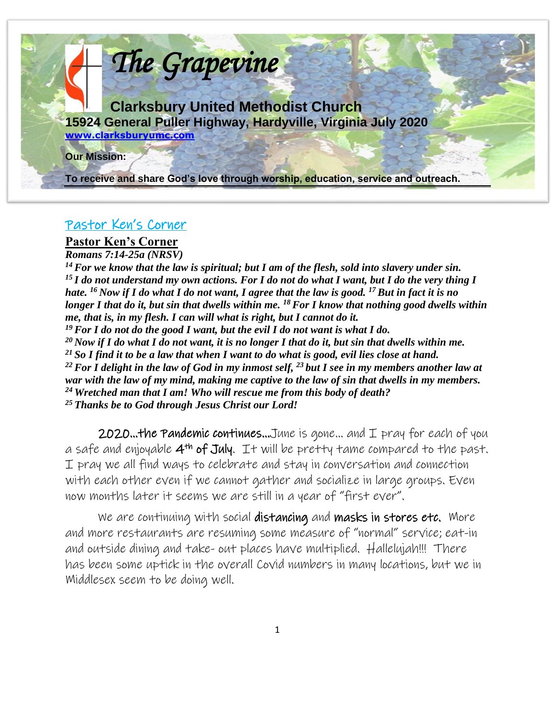

### Pastor Ken's Corner

### **Pastor Ken's Corner**

*Romans 7:14-25a (NRSV) For we know that the law is spiritual; but I am of the flesh, sold into slavery under sin. I do not understand my own actions. For I do not do what I want, but I do the very thing I hate. <sup>16</sup>Now if I do what I do not want, I agree that the law is good. <sup>17</sup>But in fact it is no longer I that do it, but sin that dwells within me. <sup>18</sup>For I know that nothing good dwells within me, that is, in my flesh. I can will what is right, but I cannot do it. For I do not do the good I want, but the evil I do not want is what I do. Now if I do what I do not want, it is no longer I that do it, but sin that dwells within me. So I find it to be a law that when I want to do what is good, evil lies close at hand. For I delight in the law of God in my inmost self, <sup>23</sup>but I see in my members another law at war with the law of my mind, making me captive to the law of sin that dwells in my members. Wretched man that I am! Who will rescue me from this body of death? Thanks be to God through Jesus Christ our Lord!* 

**2020...the Pandemic continues...**June is gone... and  $I$  pray for each of you a safe and enjoyable  $4^{th}$  of July. It will be pretty tame compared to the past. I pray we all find ways to celebrate and stay in conversation and connection with each other even if we cannot gather and socialize in large groups. Even now months later it seems we are still in a year of "first ever".

We are continuing with social distancing and masks in stores etc. More and more restaurants are resuming some measure of "normal" service; eat-in and outside dining and take- out places have multiplied. Hallelujah!!! There has been some uptick in the overall Covid numbers in many locations, but we in Middlesex seem to be doing well.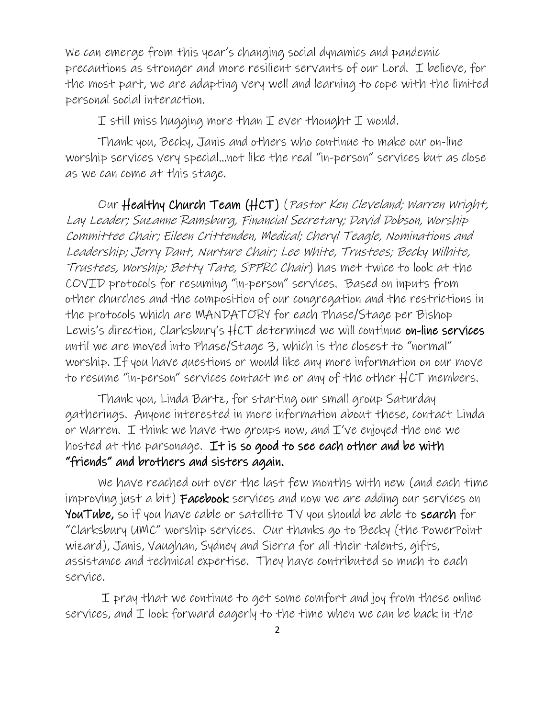We can emerge from this year's changing social dynamics and pandemic precautions as stronger and more resilient servants of our Lord. I believe, for the most part, we are adapting very well and learning to cope with the limited personal social interaction.

I still miss hugging more than I ever thought I would.

Thank you, Becky, Janis and others who continue to make our on-line worship services very special…not like the real "in-person" services but as close as we can come at this stage.

Our Healthy Church Team (HCT) (Pastor Ken Cleveland; Warren Wright, Lay Leader; Suzanne Ramsburg, Financial Secretary; David Dobson, Worship Committee Chair; Eileen Crittenden, Medical; Cheryl Teagle, Nominations and Leadership; Jerry Dant, Nurture Chair; Lee White, Trustees; Becky Wilhite, Trustees, Worship; Betty Tate, SPPRC Chair) has met twice to look at the COVID protocols for resuming "in-person" services. Based on inputs from other churches and the composition of our congregation and the restrictions in the protocols which are MANDATORY for each Phase/Stage per Bishop Lewis's direction, Clarksbury's  $HCT$  determined we will continue on-line services until we are moved into Phase/Stage 3, which is the closest to "normal" worship. If you have questions or would like any more information on our move to resume "in-person" services contact me or any of the other HCT members.

Thank you, Linda Bartz, for starting our small group Saturday gatherings. Anyone interested in more information about these, contact Linda or Warren. I think we have two groups now, and  $I'$ ve enjoyed the one we hosted at the parsonage. It is so good to see each other and be with "friends" and brothers and sisters again.

We have reached out over the last few months with new (and each time improving just a bit) **Facebook** services and now we are adding our services on YouTube, so if you have cable or satellite TV you should be able to search for "Clarksbury UMC" worship services. Our thanks go to Becky (the PowerPoint wizard), Janis, Vaughan, Sydney and Sierra for all their talents, gifts, assistance and technical expertise. They have contributed so much to each service.

I pray that we continue to get some comfort and joy from these online services, and  $I$  look forward eagerly to the time when we can be back in the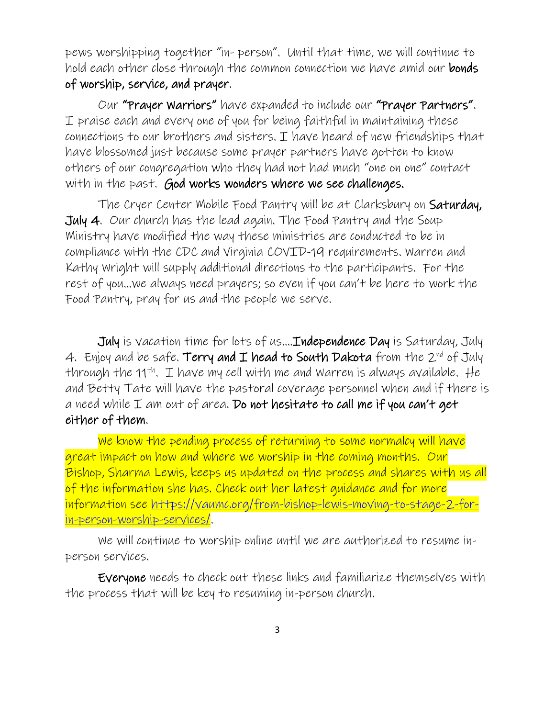pews worshipping together "in- person". Until that time, we will continue to hold each other close through the common connection we have amid our bonds of worship, service, and prayer.

Our "Prayer Warriors" have expanded to include our "Prayer Partners". I praise each and every one of you for being faithful in maintaining these connections to our brothers and sisters. I have heard of new friendships that have blossomed just because some prayer partners have gotten to know others of our congregation who they had not had much "one on one" contact with in the past. God works wonders where we see challenges.

The Cryer Center Mobile Food Pantry will be at Clarksbury on Saturday, July 4. Our church has the lead again. The Food Pantry and the Soup Ministry have modified the way these ministries are conducted to be in compliance with the CDC and Virginia COVID-19 requirements. Warren and Kathy Wright will supply additional directions to the participants. For the rest of you…we always need prayers; so even if you can't be here to work the Food Pantry, pray for us and the people we serve.

July is vacation time for lots of us….Independence Day is Saturday, July 4. Enjoy and be safe. Terry and  $I$  head to South Dakota from the  $2^{nd}$  of July through the 11<sup>th</sup>. I have my cell with me and Warren is always available. He and Betty Tate will have the pastoral coverage personnel when and if there is a need while  $I$  am out of area. Do not hesitate to call me if you can't get either of them.

We know the pending process of returning to some normalcy will have great impact on how and where we worship in the coming months. Our Bishop, Sharma Lewis, keeps us updated on the process and shares with us all of the information she has. Check out her latest guidance and for more information see [https://vaumc.org/from-bishop-lewis-moving-to-stage-2-for](about:blank)[in-person-worship-services/.](about:blank)

We will continue to worship online until we are authorized to resume inperson services.

Everyone needs to check out these links and familiarize themselves with the process that will be key to resuming in-person church.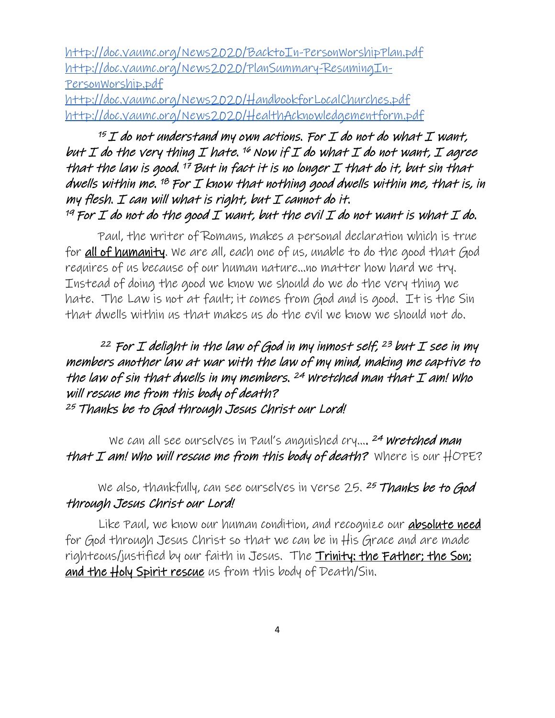[http://doc.vaumc.org/News2020/BacktoIn-PersonWorshipPlan.pdf](about:blank) [http://doc.vaumc.org/News2020/PlanSummary-ResumingIn-](about:blank)[PersonWorship.pdf](about:blank)

[http://doc.vaumc.org/News2020/HandbookforLocalChurches.pdf](about:blank) http://doc.vaumc.org/News2020/HealthAcknowledgementform.pdf

## $15I$  do not understand my own actions. For I do not do what I want, but I do the very thing I hate.  $^{16}$  Now if I do what I do not want, I agree that the law is good.  $^{17}$  But in fact it is no longer  $\mathcal I$  that do it, but sin that dwells within me. <sup>18</sup> For I know that nothing good dwells within me, that is, in my flesh.  $I$  can will what is right, but  $I$  cannot do it. <sup>19</sup> For I do not do the good I want, but the evil I do not want is what I do.

Paul, the writer of Romans, makes a personal declaration which is true for **all of humanity**. We are all, each one of us, unable to do the good that God requires of us because of our human nature...no matter how hard we try. Instead of doing the good we know we should do we do the very thing we hate. The Law is not at fault; it comes from God and is good. It is the Sin that dwells within us that makes us do the evil we know we should not do.

## <sup>22</sup> For I delight in the law of God in my inmost self, <sup>23</sup> but I see in my members another law at war with the law of my mind, making me captive to the law of sin that dwells in my members.  $^{24}$  Wretched man that  $I$  am! Who will rescue me from this body of death? <sup>25</sup> Thanks be to God through Jesus Christ our Lord!

We can all see ourselves in Paul's anguished cry.... <sup>24</sup> Wretched man that I am! who will rescue me from this body of death? Where is our  $\sharp$ OPE?

## We also, thankfully, can see ourselves in verse 25. 25 Thanks be to God through Jesus Christ our Lord!

Like Paul, we know our human condition, and recognize our **absolute need** for God through Jesus Christ so that we can be in His Grace and are made righteous/justified by our faith in Jesus. The Trinity: the Father; the Son; and the Holy Spirit rescue us from this body of Death/Sin.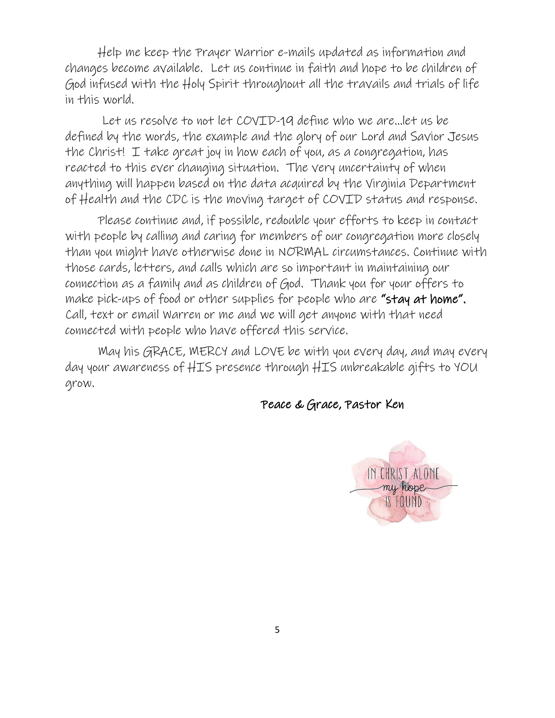Help me keep the Prayer Warrior e-mails updated as information and changes become available. Let us continue in faith and hope to be children of God infused with the Holy Spirit throughout all the travails and trials of life in this world.

Let us resolve to not let COVTD-19 define who we are... let us be defined by the words, the example and the glory of our Lord and Savior Jesus the Christ! I take great joy in how each of you, as a congregation, has reacted to this ever changing situation. The very uncertainty of when anything will happen based on the data acquired by the Virginia Department of Health and the CDC is the moving target of COVID status and response.

Please continue and, if possible, redouble your efforts to keep in contact with people by calling and caring for members of our congregation more closely than you might have otherwise done in NORMAL circumstances. Continue with those cards, letters, and calls which are so important in maintaining our connection as a family and as children of God. Thank you for your offers to make pick-ups of food or other supplies for people who are "stay at home". Call, text or email Warren or me and we will get anyone with that need connected with people who have offered this service.

May his GRACE, MERCY and LOVE be with you every day, and may every day your awareness of HIS presence through HIS unbreakable gifts to YOU grow.

Peace & Grace, Pastor Ken

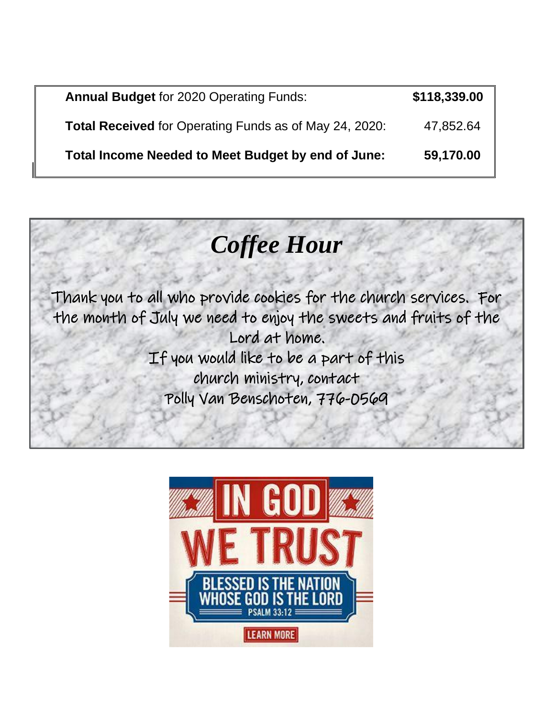| <b>Annual Budget for 2020 Operating Funds:</b>                | \$118,339.00 |
|---------------------------------------------------------------|--------------|
| <b>Total Received</b> for Operating Funds as of May 24, 2020: | 47,852.64    |
| Total Income Needed to Meet Budget by end of June:            | 59,170.00    |



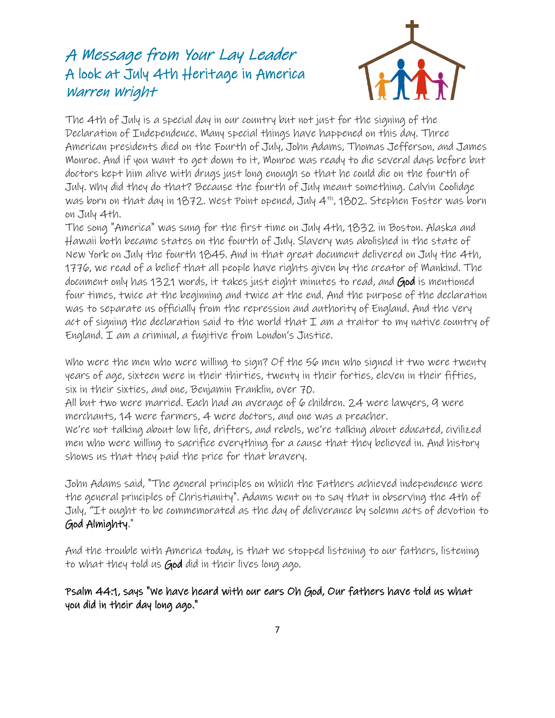# A Message from Your Lay Leader A look at July 4th Heritage in America Warren Wright



The 4th of July is a special day in our country but not just for the signing of the Declaration of Independence. Many special things have happened on this day. Three American presidents died on the Fourth of July, John Adams, Thomas Jefferson, and James Monroe. And if you want to get down to it, Monroe was ready to die several days before but doctors kept him alive with drugs just long enough so that he could die on the fourth of July. Why did they do that? Because the fourth of July meant something. Calvin Coolidge was born on that day in 1872. West Point opened, July 4th , 1802. Stephen Foster was born on July 4th.

The song "America" was sung for the first time on July 4th, 1832 in Boston. Alaska and Hawaii both became states on the fourth of July. Slavery was abolished in the state of New York on July the fourth 1845. And in that great document delivered on July the 4th, 1776, we read of a belief that all people have rights given by the creator of Mankind. The document only has 1321 words, it takes just eight minutes to read, and God is mentioned four times, twice at the beginning and twice at the end. And the purpose of the declaration was to separate us officially from the repression and authority of England. And the very act of signing the declaration said to the world that  $\mathcal I$  am a traitor to my native country of England. I am a criminal, a fugitive from London's Justice.

Who were the men who were willing to sign? Of the 56 men who signed it two were twenty years of age, sixteen were in their thirties, twenty in their forties, eleven in their fifties, six in their sixties, and one, Benjamin Franklin, over 70.

All but two were married. Each had an average of 6 children. 24 were lawyers, 9 were merchants, 14 were farmers, 4 were doctors, and one was a preacher.

We're not talking about low life, drifters, and rebels, we're talking about educated, civilized men who were willing to sacrifice everything for a cause that they believed in. And history shows us that they paid the price for that bravery.

John Adams said, "The general principles on which the Fathers achieved independence were the general principles of Christianity". Adams went on to say that in observing the 4th of July, "It ought to be commemorated as the day of deliverance by solemn acts of devotion to God Almighty."

And the trouble with America today, is that we stopped listening to our fathers, listening to what they told us God did in their lives long ago.

Psalm 44:1, says "We have heard with our ears Oh God, Our fathers have told us what you did in their day long ago."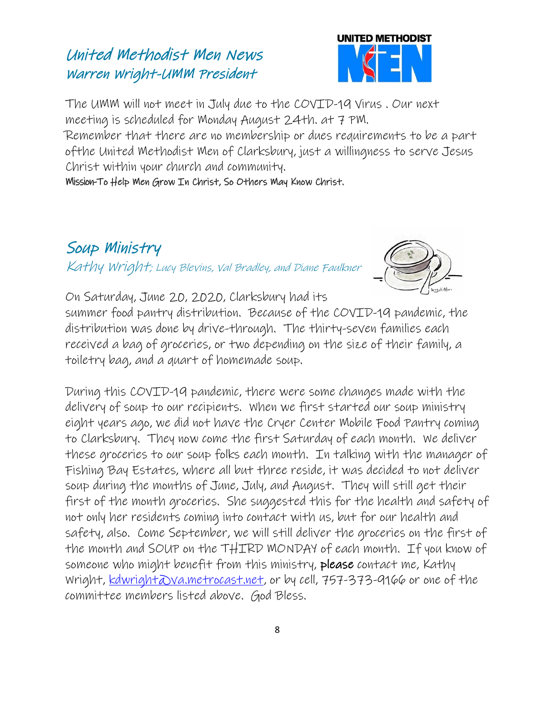## United Methodist Men News Warren Wright-UMM President



The UMM will not meet in July due to the COVID-19 Virus . Our next meeting is scheduled for Monday August 24th. at 7 PM.

Remember that there are no membership or dues requirements to be a part ofthe United Methodist Men of Clarksbury, just a willingness to serve Jesus Christ within your church and community.

Mission-To Help Men Grow In Christ, So Others May Know Christ.

# Soup Ministry

Kathy Wright; Lucy Blevins, Val Bradley, and Diane Faulkner



On Saturday, June 20, 2020, Clarksbury had its

summer food pantry distribution. Because of the COVID-19 pandemic, the distribution was done by drive-through. The thirty-seven families each received a bag of groceries, or two depending on the size of their family, a toiletry bag, and a quart of homemade soup.

During this COVID-19 pandemic, there were some changes made with the delivery of soup to our recipients. When we first started our soup ministry eight years ago, we did not have the Cryer Center Mobile Food Pantry coming to Clarksbury. They now come the first Saturday of each month. We deliver these groceries to our soup folks each month. In talking with the manager of Fishing Bay Estates, where all but three reside, it was decided to not deliver soup during the months of June, July, and August. They will still get their first of the month groceries. She suggested this for the health and safety of not only her residents coming into contact with us, but for our health and safety, also. Come September, we will still deliver the groceries on the first of the month and SOUP on the THIRD MONDAY of each month. If you know of someone who might benefit from this ministry, please contact me, Kathy wright, kdwright @va.metrocast.net, or by cell, 757-373-9166 or one of the committee members listed above. God Bless.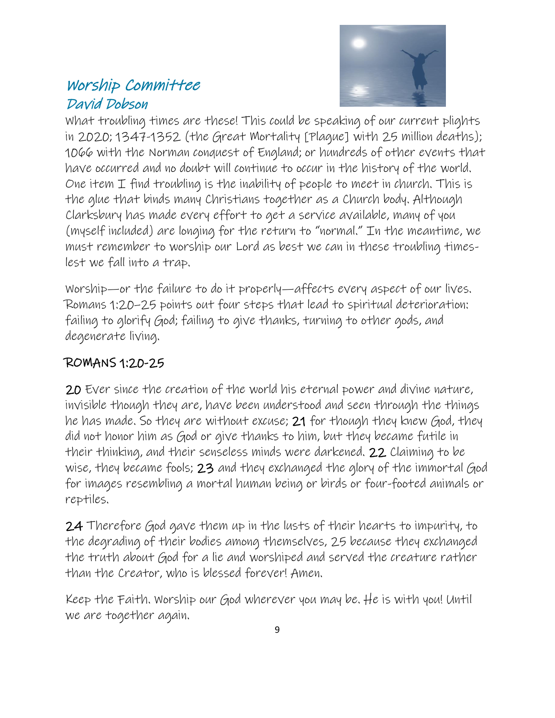## Worship Committee David Dobson



What troubling times are these! This could be speaking of our current plights in 2020; 1347-1352 (the Great Mortality [Plague] with 25 million deaths); 1066 with the Norman conquest of England; or hundreds of other events that have occurred and no doubt will continue to occur in the history of the world. One item  $I$  find troubling is the inability of people to meet in church. This is the glue that binds many Christians together as a Church body. Although Clarksbury has made every effort to get a service available, many of you (myself included) are longing for the return to "normal." In the meantime, we must remember to worship our Lord as best we can in these troubling timeslest we fall into a trap.

Worship—or the failure to do it properly—affects every aspect of our lives. Romans 1:20–25 points out four steps that lead to spiritual deterioration: failing to glorify God; failing to give thanks, turning to other gods, and degenerate living.

## ROMANS 1:20-25

20 Ever since the creation of the world his eternal power and divine nature, invisible though they are, have been understood and seen through the things he has made. So they are without excuse; 21 for though they knew God, they did not honor him as God or give thanks to him, but they became futile in their thinking, and their senseless minds were darkened. 22 Claiming to be wise, they became fools; 23 and they exchanged the glory of the immortal God for images resembling a mortal human being or birds or four-footed animals or reptiles.

24 Therefore God gave them up in the lusts of their hearts to impurity, to the degrading of their bodies among themselves, 25 because they exchanged the truth about God for a lie and worshiped and served the creature rather than the Creator, who is blessed forever! Amen.

Keep the Faith. Worship our God wherever you may be. He is with you! Until we are together again.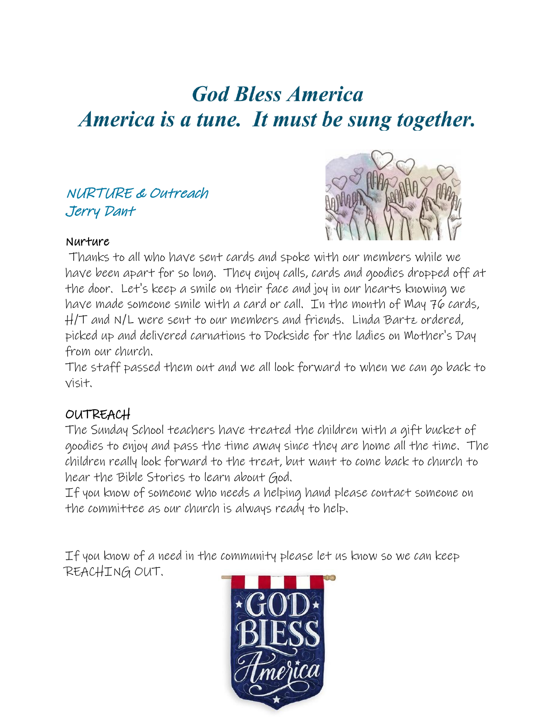# **God Bless America** America is a tune. It must be sung together.

## NURTURE & Outreach Jerry Dant



### Nurture

Thanks to all who have sent cards and spoke with our members while we have been apart for so long. They enjoy calls, cards and goodies dropped off at the door. Let's keep a smile on their face and joy in our hearts knowing we have made someone smile with a card or call. In the month of May 76 cards, H/T and N/L were sent to our members and friends. Linda Bartz ordered, picked up and delivered carnations to Dockside for the ladies on Mother's Day from our church.

The staff passed them out and we all look forward to when we can go back to visit.

## OUTREACH

The Sunday School teachers have treated the children with a gift bucket of goodies to enjoy and pass the time away since they are home all the time. The children really look forward to the treat, but want to come back to church to hear the Bible Stories to learn about God.

If you know of someone who needs a helping hand please contact someone on the committee as our church is always ready to help.

If you know of a need in the community please let us know so we can keep REACHING OUT.

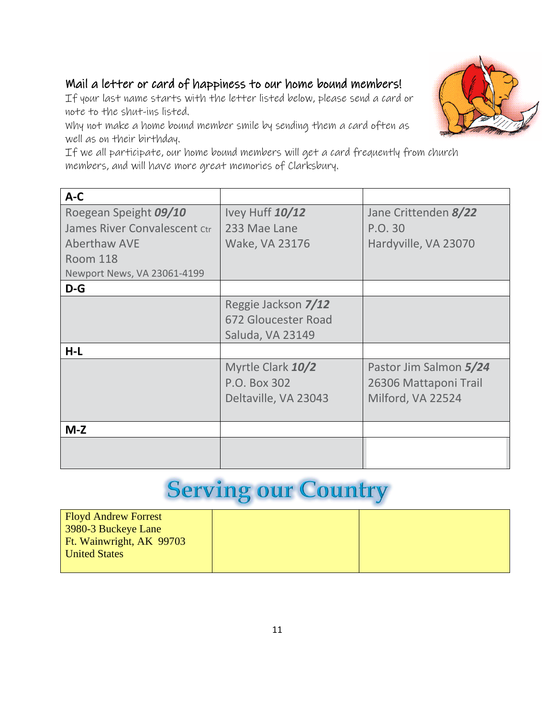## Mail a letter or card of happiness to our home bound members!

If your last name starts with the letter listed below, please send a card or note to the shut-ins listed.

Why not make a home bound member smile by sending them a card often as well as on their birthday.

If we all participate, our home bound members will get a card frequently from church members, and will have more great memories of Clarksbury.

| $A-C$                        |                      |                        |
|------------------------------|----------------------|------------------------|
| Roegean Speight 09/10        | Ivey Huff 10/12      | Jane Crittenden 8/22   |
| James River Convalescent Ctr | 233 Mae Lane         | P.O. 30                |
| <b>Aberthaw AVE</b>          | Wake, VA 23176       | Hardyville, VA 23070   |
| <b>Room 118</b>              |                      |                        |
| Newport News, VA 23061-4199  |                      |                        |
| $D-G$                        |                      |                        |
|                              | Reggie Jackson 7/12  |                        |
|                              | 672 Gloucester Road  |                        |
|                              | Saluda, VA 23149     |                        |
| $H-L$                        |                      |                        |
|                              | Myrtle Clark 10/2    | Pastor Jim Salmon 5/24 |
|                              | P.O. Box 302         | 26306 Mattaponi Trail  |
|                              | Deltaville, VA 23043 | Milford, VA 22524      |
|                              |                      |                        |
| $M-Z$                        |                      |                        |
|                              |                      |                        |
|                              |                      |                        |

# **Serving our Country**

| <b>Floyd Andrew Forrest</b> |  |
|-----------------------------|--|
| $\vert$ 3980-3 Buckeye Lane |  |
| Ft. Wainwright, AK 99703    |  |
| <b>United States</b>        |  |
|                             |  |

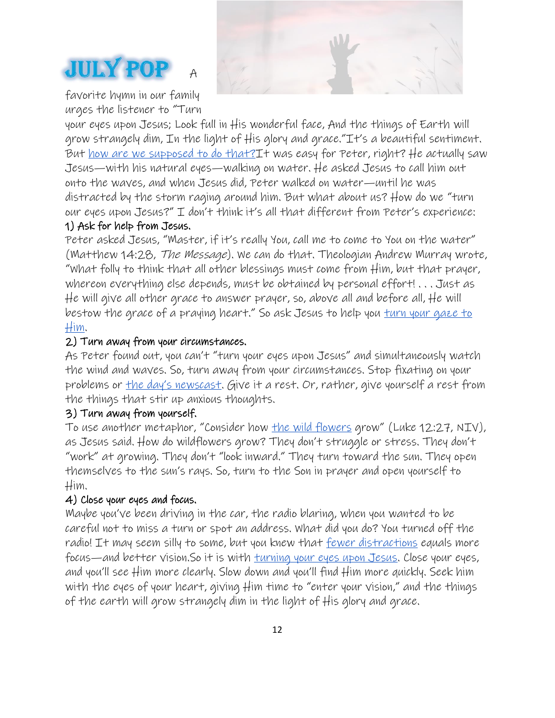



favorite hymn in our family urges the listener to "Turn

your eyes upon Jesus; Look full in His wonderful face, And the things of Earth will grow strangely dim, In the light of His glory and grace."It's a beautiful sentiment. But <u>how are we supposed to do that?</u>It was easy for Peter, right? He actually saw Jesus—with his natural eyes—walking on water. He asked Jesus to call him out onto the waves, and when Jesus did, Peter walked on water—until he was distracted by the storm raging around him. But what about us? How do we "turn our eyes upon Jesus?" I don't think it's all that different from Peter's experience:

### 1) Ask for help from Jesus.

Peter asked Jesus, "Master, if it's really You, call me to come to You on the water" (Matthew 14:28, The Message). We can do that. Theologian Andrew Murray wrote, "What folly to think that all other blessings must come from Him, but that prayer, whereon everything else depends, must be obtained by personal effort! . . . Just as He will give all other grace to answer prayer, so, above all and before all, He will bestow the grace of a praying heart." So ask Jesus to help you **turn** your gaze to [Him.](https://www.guideposts.org/node/74315)

#### 2) Turn away from your circumstances.

As Peter found out, you can't "turn your eyes upon Jesus" and simultaneously watch the wind and waves. So, turn away from your circumstances. Stop fixating on your problems or [the day's newscast](https://www.guideposts.org/node/80462). Give it a rest. Or, rather, give yourself a rest from the things that stir up anxious thoughts.

### 3) Turn away from yourself.

To use another metaphor, "Consider how <u>[the wild flowers](https://www.guideposts.org/node/78467)</u> grow" (Luke 12:27, NIV), as Jesus said. How do wildflowers grow? They don't struggle or stress. They don't "work" at growing. They don't "look inward." They turn toward the sun. They open themselves to the sun's rays. So, turn to the Son in prayer and open yourself to Him.

#### 4) Close your eyes and focus.

Maybe you've been driving in the car, the radio blaring, when you wanted to be careful not to miss a turn or spot an address. What did you do? You turned off the radio! It may seem silly to some, but you knew that <u>[fewer distractions](https://www.guideposts.org/node/81165)</u> equals more focus—and better vision.So it is with [turning your eyes upon Jesus.](https://www.guideposts.org/node/42324) Close your eyes, and you'll see Him more clearly. Slow down and you'll find Him more quickly. Seek him with the eyes of your heart, giving Him time to "enter your vision," and the things of the earth will grow strangely dim in the light of His glory and grace.